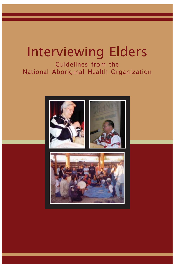# Interviewing Elders

Guidelines from the National Aboriginal Health Organization



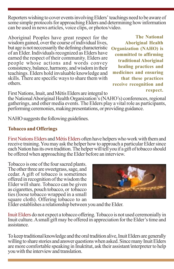Reporters wishing to cover events involving Elders' teachings need to be aware of some simple protocols for approaching Elders and determining how information can be used in news articles, voice clips, or photos/video.

Aboriginal Peoples have great respect for the wisdom gained, over the course of individual lives, but age is not neccessarily the defining characteristic of an Elder. Individuals recognized as Elders have earned the respect of their community. Elders are people whose actions and words convey consistency, balance, harmony, and wisdom in their teachings. Elders hold invaluable knowledge and skills. There are specific ways to share them with others.

**The National Aboriginal Health Organization (NAHO) is committed to affirming traditional Aboriginal healing practices and medicines and ensuring that these practices receive recognition and respect.**

First Nations, Inuit, and Métis Elders are integral to

the National Aboriginal Health Organization's (NAHO's) conferences, regional gatherings, and other media events. The Elders play a vital role as participants, performing ceremonies, making presentations, or providing guidance.

NAHO suggests the following guidelines.

## **Tobacco and Offerings**

First Nations Elders and Métis Elders often have helpers who work with them and receive training. You may ask the helper how to approach a particular Elder since each Nation has its own tradition. The helper will tell you if a gift of tobacco should be offered when approaching the Elder before an interview.

Tobacco is one of the four sacred plants. The other three are sweetgrass, sage, and cedar. A gift of tobacco is sometimes offered in recognition of the wisdom the Elder will share. Tobacco can be given as cigarettes, pouch tobacco, or tobacco ties (loose tobacco wrapped in a small square cloth). Offering tobacco to an



Elder establishes a relationship between you and the Elder.

Inuit Elders do not expect a tobacco offering. Tobacco is not used ceremonially in Inuit culture. A small gift may be offered in appreciation for the Elder's time and assistance.

To keep traditional knowledge and the oral tradition alive, Inuit Elders are generally willing to share stories and answer questions when asked. Since many Inuit Elders are more comfortable speaking in Inuktitut, ask their assistant/interpreter to help you with the interview and translation.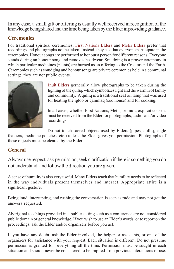In any case, a small gift or offering is usually well received in recognition of the knowledge being shared and the time being taken by the Elder in providing guidance.

#### **Ceremonies**

For traditional spiritual ceremonies, First Nations Elders and Métis Elders prefer that recordings and photographs not be taken. Instead, they ask that everyone participate in the ceremonies. Honour songs are performed to honour a person for different reasons. Everyone stands during an honour song and removes headwear. Smudging is a prayer ceremony in which particular medicines (plants) are burned as an offering to the Creator and the Earth. Ceremonies such as smudging and honour songs are private ceremonies held in a communal setting; they are not public events.



Inuit Elders gernerally allow photographs to be taken during the lighting of the qulliq, which symbolizes light and the warmth of family and community. A qulliq is a traditional seal oil lamp that was used for heating the igloo or qammaq (sod house) and for cooking.

In all cases, whether First Nations, Métis, or Inuit, explicit consent must be received from the Elder for photographs, audio, and/or video recordings.

Do not touch sacred objects used by Elders (pipes, qulliq, eagle feathers, medicine pouches, etc.) unless the Elder gives you permission. Photographs of these objects must be cleared by the Elder.

## **General**

Always use respect, ask permission, seek clarification if there is something you do not understand, and follow the direction you are given.

A sense of humility is also very useful. Many Elders teach that humility needs to be reflected in the way individuals present themselves and interact. Appropriate attire is a significant gesture.

Being loud, interrupting, and rushing the conversation is seen as rude and may not get the answers requested.

Aboriginal teachings provided in a public setting such as a conference are not considered public domain or general knowledge. If you wish to use an Elder's words, or to report on the proceedings, ask the Elder and/or organizers before you act.

If you have any doubt, ask the Elder involved, the helper or assistants, or one of the organizers for assistance with your request. Each situation is different. Do not presume permission is granted for everything all the time. Permission must be sought in each situation and should never be considered to be implied from previous interactions or use.